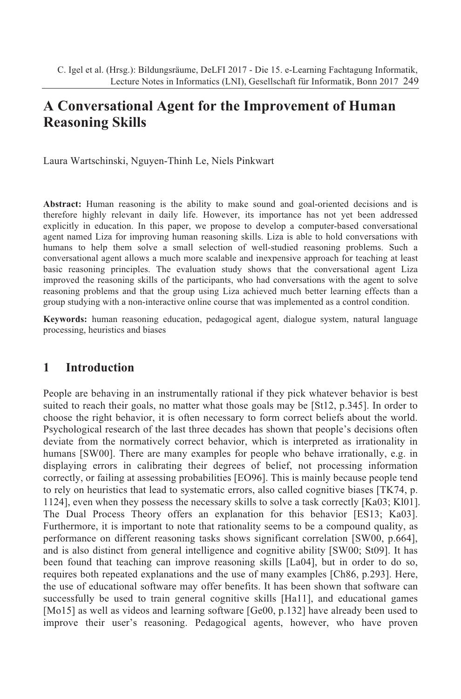# **A Conversational Agent for the Improvement of Human Reasoning Skills**

Laura Wartschinski, Nguyen-Thinh Le, Niels Pinkwart

**Abstract:** Human reasoning is the ability to make sound and goal-oriented decisions and is therefore highly relevant in daily life. However, its importance has not yet been addressed explicitly in education. In this paper, we propose to develop a computer-based conversational agent named Liza for improving human reasoning skills. Liza is able to hold conversations with humans to help them solve a small selection of well-studied reasoning problems. Such a conversational agent allows a much more scalable and inexpensive approach for teaching at least basic reasoning principles. The evaluation study shows that the conversational agent Liza improved the reasoning skills of the participants, who had conversations with the agent to solve reasoning problems and that the group using Liza achieved much better learning effects than a group studying with a non-interactive online course that was implemented as a control condition.

**Keywords:** human reasoning education, pedagogical agent, dialogue system, natural language processing, heuristics and biases

# **1 Introduction**

People are behaving in an instrumentally rational if they pick whatever behavior is best suited to reach their goals, no matter what those goals may be [St12, p.345]. In order to choose the right behavior, it is often necessary to form correct beliefs about the world. Psychological research of the last three decades has shown that people's decisions often deviate from the normatively correct behavior, which is interpreted as irrationality in humans [SW00]. There are many examples for people who behave irrationally, e.g. in displaying errors in calibrating their degrees of belief, not processing information correctly, or failing at assessing probabilities [EO96]. This is mainly because people tend to rely on heuristics that lead to systematic errors, also called cognitive biases [TK74, p. 1124], even when they possess the necessary skills to solve a task correctly [Ka03; Kl01]. The Dual Process Theory offers an explanation for this behavior [ES13; Ka03]. Furthermore, it is important to note that rationality seems to be a compound quality, as performance on different reasoning tasks shows significant correlation [SW00, p.664], and is also distinct from general intelligence and cognitive ability [SW00; St09]. It has been found that teaching can improve reasoning skills [La04], but in order to do so, requires both repeated explanations and the use of many examples [Ch86, p.293]. Here, the use of educational software may offer benefits. It has been shown that software can successfully be used to train general cognitive skills [Ha11], and educational games [Mo15] as well as videos and learning software [Ge00, p.132] have already been used to improve their user's reasoning. Pedagogical agents, however, who have proven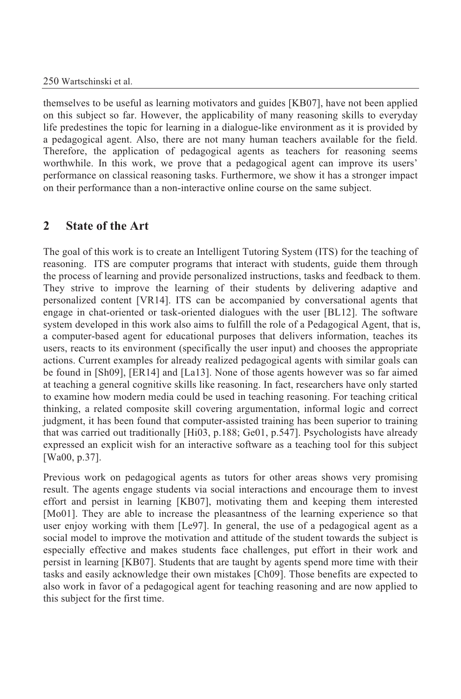themselves to be useful as learning motivators and guides [KB07], have not been applied on this subject so far. However, the applicability of many reasoning skills to everyday life predestines the topic for learning in a dialogue-like environment as it is provided by a pedagogical agent. Also, there are not many human teachers available for the field. Therefore, the application of pedagogical agents as teachers for reasoning seems worthwhile. In this work, we prove that a pedagogical agent can improve its users' performance on classical reasoning tasks. Furthermore, we show it has a stronger impact on their performance than a non-interactive online course on the same subject.

# **2 State of the Art**

The goal of this work is to create an Intelligent Tutoring System (ITS) for the teaching of reasoning. ITS are computer programs that interact with students, guide them through the process of learning and provide personalized instructions, tasks and feedback to them. They strive to improve the learning of their students by delivering adaptive and personalized content [VR14]. ITS can be accompanied by conversational agents that engage in chat-oriented or task-oriented dialogues with the user [BL12]. The software system developed in this work also aims to fulfill the role of a Pedagogical Agent, that is, a computer-based agent for educational purposes that delivers information, teaches its users, reacts to its environment (specifically the user input) and chooses the appropriate actions. Current examples for already realized pedagogical agents with similar goals can be found in [Sh09], [ER14] and [La13]. None of those agents however was so far aimed at teaching a general cognitive skills like reasoning. In fact, researchers have only started to examine how modern media could be used in teaching reasoning. For teaching critical thinking, a related composite skill covering argumentation, informal logic and correct judgment, it has been found that computer-assisted training has been superior to training that was carried out traditionally [Hi03, p.188; Ge01, p.547]. Psychologists have already expressed an explicit wish for an interactive software as a teaching tool for this subject [Wa00, p.37].

Previous work on pedagogical agents as tutors for other areas shows very promising result. The agents engage students via social interactions and encourage them to invest effort and persist in learning [KB07], motivating them and keeping them interested [Mo01]. They are able to increase the pleasantness of the learning experience so that user enjoy working with them [Le97]. In general, the use of a pedagogical agent as a social model to improve the motivation and attitude of the student towards the subject is especially effective and makes students face challenges, put effort in their work and persist in learning [KB07]. Students that are taught by agents spend more time with their tasks and easily acknowledge their own mistakes [Ch09]. Those benefits are expected to also work in favor of a pedagogical agent for teaching reasoning and are now applied to this subject for the first time.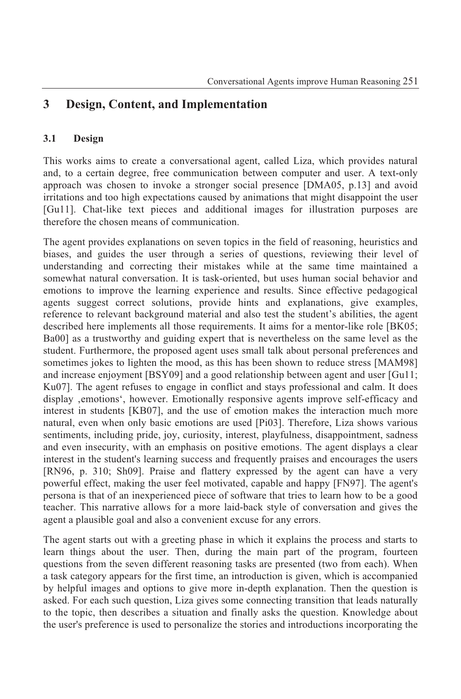# **3 Design, Content, and Implementation**

### **3.1 Design**

This works aims to create a conversational agent, called Liza, which provides natural and, to a certain degree, free communication between computer and user. A text-only approach was chosen to invoke a stronger social presence [DMA05, p.13] and avoid irritations and too high expectations caused by animations that might disappoint the user [Gu11]. Chat-like text pieces and additional images for illustration purposes are therefore the chosen means of communication.

The agent provides explanations on seven topics in the field of reasoning, heuristics and biases, and guides the user through a series of questions, reviewing their level of understanding and correcting their mistakes while at the same time maintained a somewhat natural conversation. It is task-oriented, but uses human social behavior and emotions to improve the learning experience and results. Since effective pedagogical agents suggest correct solutions, provide hints and explanations, give examples, reference to relevant background material and also test the student's abilities, the agent described here implements all those requirements. It aims for a mentor-like role [BK05; Ba00] as a trustworthy and guiding expert that is nevertheless on the same level as the student. Furthermore, the proposed agent uses small talk about personal preferences and sometimes jokes to lighten the mood, as this has been shown to reduce stress [MAM98] and increase enjoyment [BSY09] and a good relationship between agent and user [Gu11; Ku07]. The agent refuses to engage in conflict and stays professional and calm. It does display 'emotions', however. Emotionally responsive agents improve self-efficacy and interest in students [KB07], and the use of emotion makes the interaction much more natural, even when only basic emotions are used [Pi03]. Therefore, Liza shows various sentiments, including pride, joy, curiosity, interest, playfulness, disappointment, sadness and even insecurity, with an emphasis on positive emotions. The agent displays a clear interest in the student's learning success and frequently praises and encourages the users [RN96, p. 310; Sh09]. Praise and flattery expressed by the agent can have a very powerful effect, making the user feel motivated, capable and happy [FN97]. The agent's persona is that of an inexperienced piece of software that tries to learn how to be a good teacher. This narrative allows for a more laid-back style of conversation and gives the agent a plausible goal and also a convenient excuse for any errors.

The agent starts out with a greeting phase in which it explains the process and starts to learn things about the user. Then, during the main part of the program, fourteen questions from the seven different reasoning tasks are presented (two from each). When a task category appears for the first time, an introduction is given, which is accompanied by helpful images and options to give more in-depth explanation. Then the question is asked. For each such question, Liza gives some connecting transition that leads naturally to the topic, then describes a situation and finally asks the question. Knowledge about the user's preference is used to personalize the stories and introductions incorporating the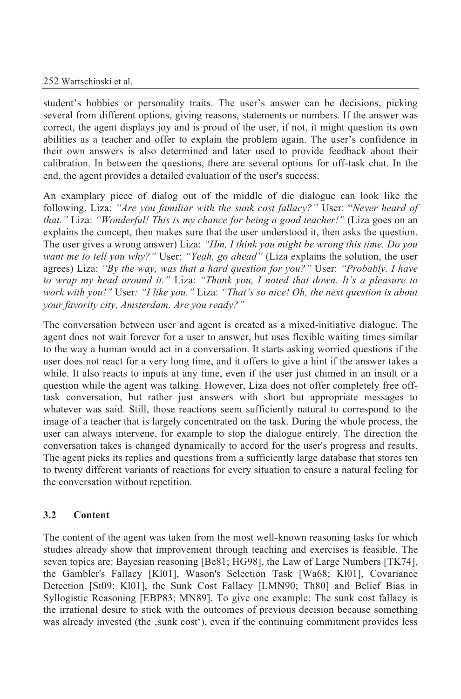#### 252 Wartschinski et al.

student's hobbies or personality traits. The user's answer can be decisions, picking several from different options, giving reasons, statements or numbers. If the answer was correct, the agent displays joy and is proud of the user, if not, it might question its own abilities as a teacher and offer to explain the problem again. The user's confidence in their own answers is also determined and later used to provide feedback about their calibration. In between the questions, there are several options for off-task chat. In the end, the agent provides a detailed evaluation of the user's success.

An examplary piece of dialog out of the middle of die dialogue can look like the following. Liza: *"Are you familiar with the sunk cost fallacy?"* User: "*Never heard of that."* Liza: *"Wonderful! This is my chance for being a good teacher!"* (Liza goes on an explains the concept, then makes sure that the user understood it, then asks the question. The user gives a wrong answer) Liza: *"Hm, I think you might be wrong this time. Do you want me to tell you why?"* User: *"Yeah, go ahead"* (Liza explains the solution, the user agrees) Liza: *"By the way, was that a hard question for you?"* User: *"Probably. I have to wrap my head around it."* Liza: *"Thank you,Inoted that down. It's a pleasure to work with you!"* User*: "I like you."* Liza: *"That's so nice! Oh, the next question is about your favority city, Amsterdam. Are you ready?"*

The conversation between user and agent is created as a mixed-initiative dialogue. The agent does not wait forever for a user to answer, but uses flexible waiting times similar to the way a human would act in a conversation. It starts asking worried questions if the user does not react for a very long time, and it offers to give a hint if the answer takes a while. It also reacts to inputs at any time, even if the user just chimed in an insult or a question while the agent was talking. However, Liza does not offer completely free offtask conversation, but rather just answers with short but appropriate messages to whatever was said. Still, those reactions seem sufficiently natural to correspond to the image of a teacher that is largely concentrated on the task. During the whole process, the user can always intervene, for example to stop the dialogue entirely. The direction the conversation takes is changed dynamically to accord for the user's progress and results. The agent picks its replies and questions from a sufficiently large database that stores ten to twenty different variants of reactions for every situation to ensure a natural feeling for the conversation without repetition.

# **3.2 Content**

The content of the agent was taken from the most well-known reasoning tasks for which studies already show that improvement through teaching and exercises is feasible. The seven topics are: Bayesian reasoning [Be81; HG98], the Law of Large Numbers [TK74], the Gambler's Fallacy [Kl01], Wason's Selection Task [Wa68; Kl01], Covariance Detection [St09; Kl01], the Sunk Cost Fallacy [LMN90; Th80] and Belief Bias in Syllogistic Reasoning [EBP83; MN89]. To give one example: The sunk cost fallacy is the irrational desire to stick with the outcomes of previous decision because something was already invested (the , sunk cost), even if the continuing commitment provides less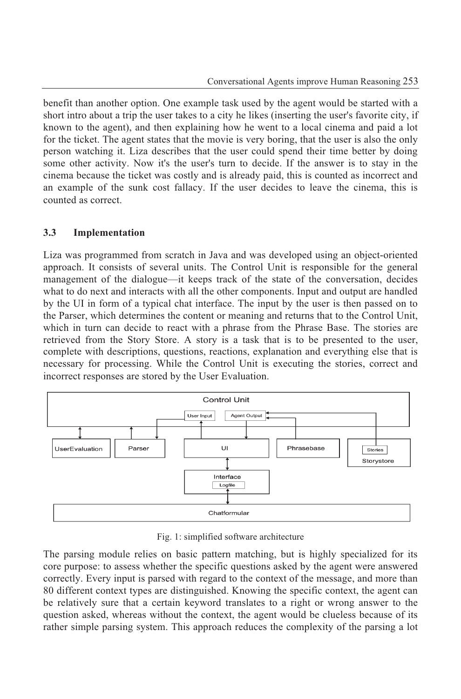benefit than another option. One example task used by the agent would be started with a short intro about a trip the user takes to a city he likes (inserting the user's favorite city, if known to the agent), and then explaining how he went to a local cinema and paid a lot for the ticket. The agent states that the movie is very boring, that the user is also the only person watching it. Liza describes that the user could spend their time better by doing some other activity. Now it's the user's turn to decide. If the answer is to stay in the cinema because the ticket was costly and is already paid, this is counted as incorrect and an example of the sunk cost fallacy. If the user decides to leave the cinema, this is counted as correct.

#### **3.3 Implementation**

Liza was programmed from scratch in Java and was developed using an object-oriented approach. It consists of several units. The Control Unit is responsible for the general management of the dialogue—it keeps track of the state of the conversation, decides what to do next and interacts with all the other components. Input and output are handled by the UI in form of a typical chat interface. The input by the user is then passed on to the Parser, which determines the content or meaning and returns that to the Control Unit, which in turn can decide to react with a phrase from the Phrase Base. The stories are retrieved from the Story Store. A story is a task that is to be presented to the user, complete with descriptions, questions, reactions, explanation and everything else that is necessary for processing. While the Control Unit is executing the stories, correct and incorrect responses are stored by the User Evaluation.



Fig. 1: simplified software architecture

The parsing module relies on basic pattern matching, but is highly specialized for its core purpose: to assess whether the specific questions asked by the agent were answered correctly. Every input is parsed with regard to the context of the message, and more than 80 different context types are distinguished. Knowing the specific context, the agent can be relatively sure that a certain keyword translates toaright or wrong answer to the question asked, whereas without the context, the agent would be clueless because of its rather simple parsing system. This approach reduces the complexity of the parsing a lot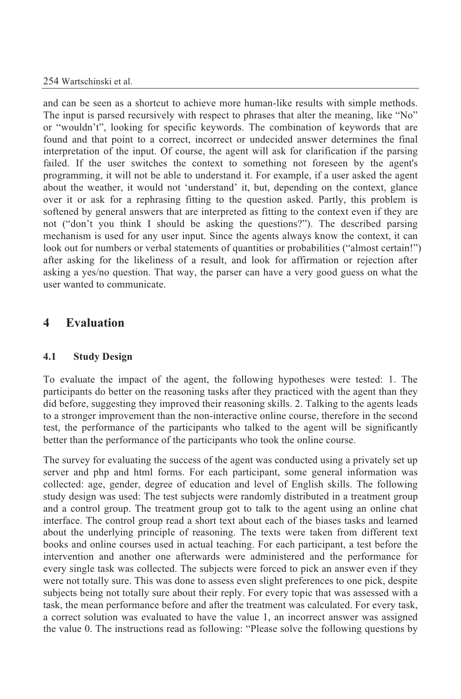and can be seen as a shortcut to achieve more human-like results with simple methods. The input is parsed recursively with respect to phrases that alter the meaning, like "No" or "wouldn't", looking for specific keywords. The combination of keywords that are found and that point to a correct, incorrect or undecided answer determines the final interpretation of the input. Of course, the agent will ask for clarification if the parsing failed. If the user switches the context to something not foreseen by the agent's programming, it will not be able to understand it. For example, if a user asked the agent about the weather, it would not 'understand' it, but, depending on the context, glance over it or ask for a rephrasing fitting to the question asked. Partly, this problem is softened by general answers that are interpreted as fitting to the context even if they are not ("don't you think I should be asking the questions?"). The described parsing mechanism is used for any user input. Since the agents always know the context, it can look out for numbers or verbal statements of quantities or probabilities ("almost certain!") after asking for the likeliness of a result, and look for affirmation or rejection after asking a yes/no question. That way, the parser can have a very good guess on what the user wanted to communicate.

# **4 Evaluation**

# **4.1 Study Design**

To evaluate the impact of the agent, the following hypotheses were tested: 1. The participants do better on the reasoning tasks after they practiced with the agent than they did before, suggesting they improved their reasoning skills. 2. Talking to the agents leads to a stronger improvement than the non-interactive online course, therefore in the second test, the performance of the participants who talked to the agent will be significantly better than the performance of the participants who took the online course.

The survey for evaluating the success of the agent was conducted using a privately set up server and php and html forms. For each participant, some general information was collected: age, gender, degree of education and level of English skills. The following study design was used: The test subjects were randomly distributed in a treatment group and a control group. The treatment group got to talk to the agent using an online chat interface. The control group read a short text about each of the biases tasks and learned about the underlying principle of reasoning. The texts were taken from different text books and online courses used in actual teaching. For each participant, a test before the intervention and another one afterwards were administered and the performance for every single task was collected. The subjects were forced to pick an answer even if they were not totally sure. This was done to assess even slight preferences to one pick, despite subjects being not totally sure about their reply. For every topic that was assessed with a task, the mean performance before and after the treatment was calculated. For every task, a correct solution was evaluated to have the value 1, an incorrect answer was assigned the value 0. The instructions read as following: "Please solve the following questions by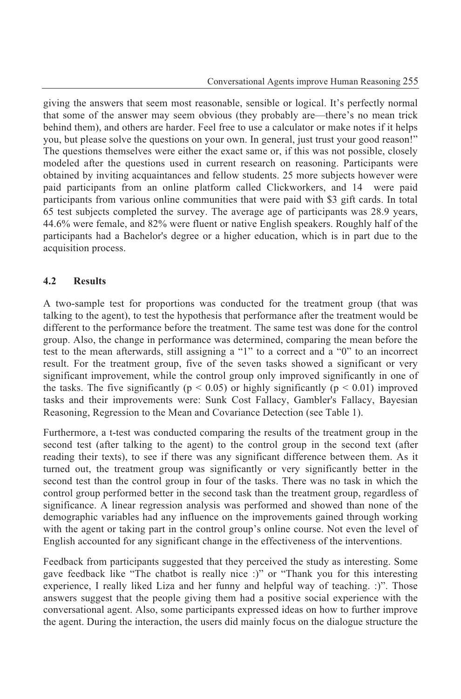giving the answers that seem most reasonable, sensible or logical. It's perfectly normal that some of the answer may seem obvious (they probably are—there's no mean trick behind them), and others are harder. Feel free to use a calculator or make notes if it helps you, but please solve the questions on your own. In general, just trust your good reason!" The questions themselves were either the exact same or, if this was not possible, closely modeled after the questions used in current research on reasoning. Participants were obtained by inviting acquaintances and fellow students. 25 more subjects however were paid participants from an online platform called Clickworkers, and 14 were paid participants from various online communities that were paid with \$3 gift cards. In total 65 test subjects completed the survey. The average age of participants was 28.9 years, 44.6% were female, and 82% were fluent or native English speakers. Roughly half of the participants had a Bachelor's degree or a higher education, which is in part due to the acquisition process.

# **4.2 Results**

A two-sample test for proportions was conducted for the treatment group (that was talking to the agent), to test the hypothesis that performance after the treatment would be different to the performance before the treatment. The same test was done for the control group. Also, the change in performance was determined, comparing the mean before the test to the mean afterwards, still assigning a "1" to a correct and a "0" to an incorrect result. For the treatment group, five of the seven tasks showed a significant or very significant improvement, while the control group only improved significantly in one of the tasks. The five significantly ( $p < 0.05$ ) or highly significantly ( $p < 0.01$ ) improved tasks and their improvements were: Sunk Cost Fallacy, Gambler's Fallacy, Bayesian Reasoning, Regression to the Mean and Covariance Detection (see Table 1).

Furthermore, a t-test was conducted comparing the results of the treatment group in the second test (after talking to the agent) to the control group in the second text (after reading their texts), to see if there was any significant difference between them. As it turned out, the treatment group was significantly or very significantly better in the second test than the control group in four of the tasks. There was no task in which the control group performed better in the second task than the treatment group, regardless of significance. A linear regression analysis was performed and showed than none of the demographic variables had any influence on the improvements gained through working with the agent or taking part in the control group's online course. Not even the level of English accounted for any significant change in the effectiveness of the interventions.

Feedback from participants suggested that they perceived the study as interesting. Some gave feedback like "The chatbot is really nice :)" or "Thank you for this interesting experience, I really liked Liza and her funny and helpful way of teaching. :)". Those answers suggest that the people giving them had a positive social experience with the conversational agent. Also, some participants expressed ideas on how to further improve the agent. During the interaction, the users did mainly focus on the dialogue structure the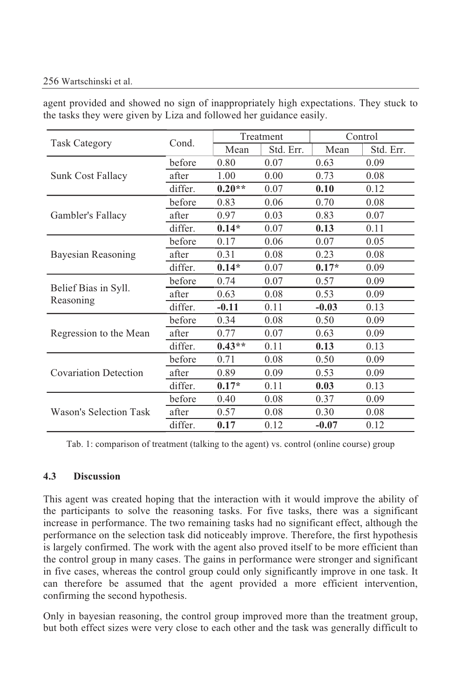#### 256 Wartschinski et al.

agent provided and showed no sign of inappropriately high expectations. They stuck to the tasks they were given by Liza and followed her guidance easily.

| <b>Task Category</b>              | Cond.   | Treatment |           | Control |           |
|-----------------------------------|---------|-----------|-----------|---------|-----------|
|                                   |         | Mean      | Std. Err. | Mean    | Std. Err. |
| Sunk Cost Fallacy                 | before  | 0.80      | 0.07      | 0.63    | 0.09      |
|                                   | after   | 1.00      | 0.00      | 0.73    | 0.08      |
|                                   | differ. | $0.20**$  | 0.07      | 0.10    | 0.12      |
| Gambler's Fallacy                 | before  | 0.83      | 0.06      | 0.70    | 0.08      |
|                                   | after   | 0.97      | 0.03      | 0.83    | 0.07      |
|                                   | differ. | $0.14*$   | 0.07      | 0.13    | 0.11      |
| Bayesian Reasoning                | before  | 0.17      | 0.06      | 0.07    | 0.05      |
|                                   | after   | 0.31      | 0.08      | 0.23    | 0.08      |
|                                   | differ. | $0.14*$   | 0.07      | $0.17*$ | 0.09      |
| Belief Bias in Syll.<br>Reasoning | before  | 0.74      | 0.07      | 0.57    | 0.09      |
|                                   | after   | 0.63      | 0.08      | 0.53    | 0.09      |
|                                   | differ. | $-0.11$   | 0.11      | $-0.03$ | 0.13      |
| Regression to the Mean            | before  | 0.34      | 0.08      | 0.50    | 0.09      |
|                                   | after   | 0.77      | 0.07      | 0.63    | 0.09      |
|                                   | differ. | $0.43**$  | 0.11      | 0.13    | 0.13      |
| <b>Covariation Detection</b>      | before  | 0.71      | 0.08      | 0.50    | 0.09      |
|                                   | after   | 0.89      | 0.09      | 0.53    | 0.09      |
|                                   | differ. | $0.17*$   | 0.11      | 0.03    | 0.13      |
| Wason's Selection Task            | before  | 0.40      | 0.08      | 0.37    | 0.09      |
|                                   | after   | 0.57      | 0.08      | 0.30    | 0.08      |
|                                   | differ. | 0.17      | 0.12      | $-0.07$ | 0.12      |

Tab. 1: comparison of treatment (talking to the agent) vs. control (online course) group

#### **4.3 Discussion**

This agent was created hoping that the interaction with it would improve the ability of the participants to solve the reasoning tasks. For five tasks, there was a significant increase in performance. The two remaining tasks had no significant effect, although the performance on the selection task did noticeably improve. Therefore, the first hypothesis is largely confirmed. The work with the agent also proved itself to be more efficient than the control group in many cases. The gains in performance were stronger and significant in five cases, whereas the control group could only significantly improve in one task. It can therefore be assumed that the agent provided a more efficient intervention, confirming the second hypothesis.

Only in bayesian reasoning, the control group improved more than the treatment group, but both effect sizes were very close to each other and the task was generally difficult to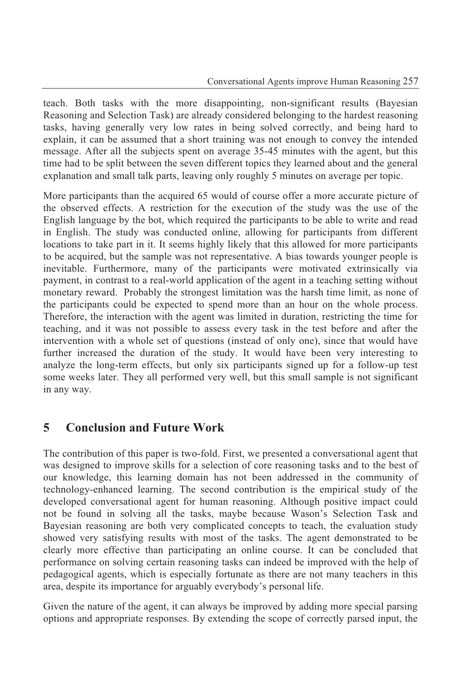teach. Both tasks with the more disappointing, non-significant results (Bayesian Reasoning and Selection Task) are already considered belonging to the hardest reasoning tasks, having generally very low rates in being solved correctly, and being hard to explain, it can be assumed that a short training was not enough to convey the intended message. After all the subjects spent on average 35-45 minutes with the agent, but this time had to be split between the seven different topics they learned about and the general explanation and small talk parts, leaving only roughly 5 minutes on average per topic.

More participants than the acquired 65 would of course offer a more accurate picture of the observed effects. A restriction for the execution of the study was the use of the English language by the bot, which required the participants to be able to write and read in English. The study was conducted online, allowing for participants from different locations to take part in it. It seems highly likely that this allowed for more participants to be acquired, but the sample was not representative. A bias towards younger people is inevitable. Furthermore, many of the participants were motivated extrinsically via payment, in contrast to a real-world application of the agent in a teaching setting without monetary reward. Probably the strongest limitation was the harsh time limit, as none of the participants could be expected to spend more than an hour on the whole process. Therefore, the interaction with the agent was limited in duration, restricting the time for teaching, and it was not possible to assess every task in the test before and after the intervention with a whole set of questions (instead of only one), since that would have further increased the duration of the study. It would have been very interesting to analyze the long-term effects, but only six participants signed up for a follow-up test some weeks later. They all performed very well, but this small sample is not significant in any way.

# **5 Conclusion and Future Work**

The contribution of this paper is two-fold. First, we presented a conversational agent that was designed to improve skills for a selection of core reasoning tasks and to the best of our knowledge, this learning domain has not been addressed in the community of technology-enhanced learning. The second contribution is the empirical study of the developed conversational agent for human reasoning. Although positive impact could not be found in solving all the tasks, maybe because Wason's Selection Task and Bayesian reasoning are both very complicated concepts to teach, the evaluation study showed very satisfying results with most of the tasks. The agent demonstrated to be clearly more effective than participating an online course. It can be concluded that performance on solving certain reasoning tasks can indeed be improved with the help of pedagogical agents, which is especially fortunate as there are not many teachers in this area, despite its importance for arguably everybody's personal life.

Given the nature of the agent, it can always be improved by adding more special parsing options and appropriate responses. By extending the scope of correctly parsed input, the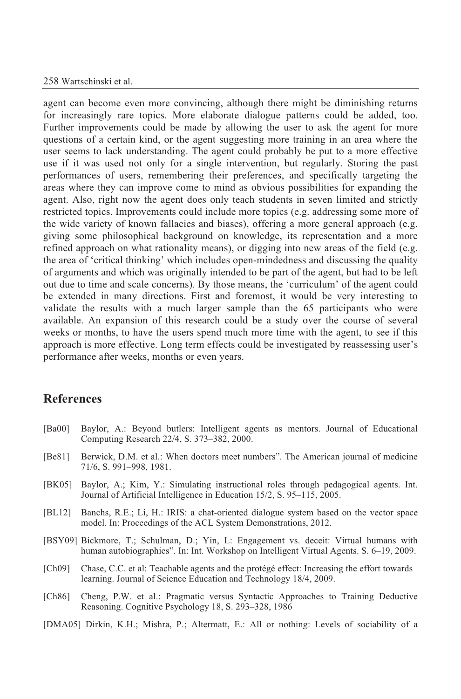#### 258 Wartschinski et al.

agent can become even more convincing, although there might be diminishing returns for increasingly rare topics. More elaborate dialogue patterns could be added, too. Further improvements could be made by allowing the user to ask the agent for more questions of a certain kind, or the agent suggesting more training in an area where the user seems to lack understanding. The agent could probably be put to a more effective use if it was used not only for a single intervention, but regularly. Storing the past performances of users, remembering their preferences, and specifically targeting the areas where they can improve come to mind as obvious possibilities for expanding the agent. Also, right now the agent does only teach students in seven limited and strictly restricted topics. Improvements could include more topics (e.g. addressing some more of the wide variety of known fallacies and biases), offering a more general approach (e.g. giving some philosophical background on knowledge, its representation and a more refined approach on what rationality means), or digging into new areas of the field (e.g. the area of 'critical thinking' which includes open-mindedness and discussing the quality of arguments and which was originally intended to be part of the agent, but had to be left out due to time and scale concerns). By those means, the 'curriculum' of the agent could be extended in many directions. First and foremost, it would be very interesting to validate the results with a much larger sample than the 65 participants who were available. An expansion of this research could be a study over the course of several weeks or months, to have the users spend much more time with the agent, to see if this approach is more effective. Long term effects could be investigated by reassessing user's performance after weeks, months or even years.

# **References**

- [Ba00] Baylor, A.: Beyond butlers: Intelligent agents as mentors. Journal of Educational Computing Research 22/4, S. 373–382, 2000.
- [Be81] Berwick, D.M. et al.: When doctors meet numbers". The American journal of medicine 71/6, S. 991–998, 1981.
- [BK05] Baylor, A.; Kim, Y.: Simulating instructional roles through pedagogical agents. Int. Journal of Artificial Intelligence in Education 15/2, S. 95–115, 2005.
- [BL12] Banchs, R.E.; Li, H.: IRIS: a chat-oriented dialogue system based on the vector space model. In: Proceedings of the ACL System Demonstrations, 2012.
- [BSY09] Bickmore, T.; Schulman, D.; Yin, L: Engagement vs. deceit: Virtual humans with human autobiographies". In: Int. Workshop on Intelligent Virtual Agents. S. 6–19, 2009.
- [Ch09] Chase, C.C. et al: Teachable agents and the protégé effect: Increasing the effort towards learning. Journal of Science Education and Technology 18/4, 2009.
- [Ch86] Cheng, P.W. et al.: Pragmatic versus Syntactic Approaches to Training Deductive Reasoning. Cognitive Psychology 18, S. 293–328, 1986
- [DMA05] Dirkin, K.H.; Mishra, P.; Altermatt, E.: All or nothing: Levels of sociability of a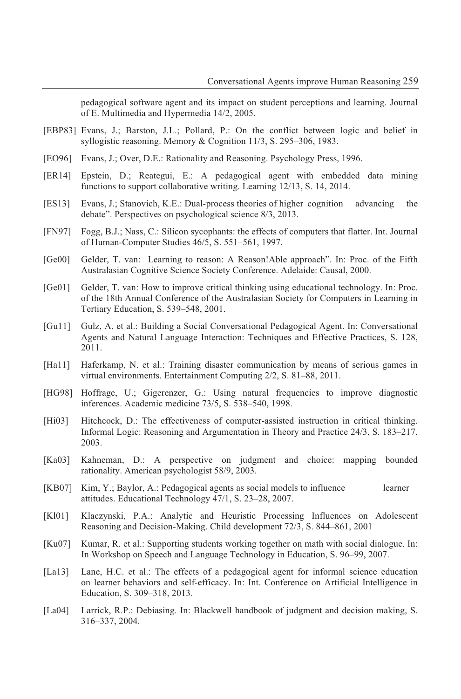pedagogical software agent and its impact on student perceptions and learning. Journal of E. Multimedia and Hypermedia 14/2, 2005.

- [EBP83] Evans, J.; Barston, J.L.; Pollard, P.: On the conflict between logic and belief in syllogistic reasoning. Memory & Cognition 11/3, S. 295–306, 1983.
- [EO96] Evans, J.; Over, D.E.: Rationality and Reasoning. Psychology Press, 1996.
- [ER14] Epstein, D.; Reategui, E.: A pedagogical agent with embedded data mining functions to support collaborative writing. Learning 12/13, S. 14, 2014.
- [ES13] Evans, J.; Stanovich, K.E.: Dual-process theories of higher cognition advancing the debate". Perspectives on psychological science 8/3, 2013.
- [FN97] Fogg, B.J.; Nass, C.: Silicon sycophants: the effects of computers that flatter. Int. Journal of Human-Computer Studies 46/5, S. 551–561, 1997.
- [Ge00] Gelder, T. van: Learning to reason: A Reason!Able approach". In: Proc. of the Fifth Australasian Cognitive Science Society Conference. Adelaide: Causal, 2000.
- [Ge01] Gelder, T. van: How to improve critical thinking using educational technology. In: Proc. of the 18th Annual Conference of the Australasian Society for Computers in Learning in Tertiary Education, S. 539–548, 2001.
- [Gu11] Gulz, A. et al.: Building a Social Conversational Pedagogical Agent. In: Conversational Agents and Natural Language Interaction: Techniques and Effective Practices, S. 128, 2011.
- [Ha11] Haferkamp, N. et al.: Training disaster communication by means of serious games in virtual environments. Entertainment Computing 2/2, S. 81–88, 2011.
- [HG98] Hoffrage, U.; Gigerenzer, G.: Using natural frequencies to improve diagnostic inferences. Academic medicine 73/5, S. 538–540, 1998.
- [Hi03] Hitchcock, D.: The effectiveness of computer-assisted instruction in critical thinking. Informal Logic: Reasoning and Argumentation in Theory and Practice 24/3, S. 183–217, 2003.
- [Ka03] Kahneman, D.: A perspective on judgment and choice: mapping bounded rationality. American psychologist 58/9, 2003.
- [KB07] Kim, Y.; Baylor, A.: Pedagogical agents as social models to influence learner attitudes. Educational Technology 47/1, S. 23–28, 2007.
- [Kl01] Klaczynski, P.A.: Analytic and Heuristic Processing Influences on Adolescent Reasoning and Decision-Making. Child development 72/3, S. 844–861, 2001
- [Ku07] Kumar, R. et al.: Supporting students working together on math with social dialogue. In: In Workshop on Speech and Language Technology in Education, S. 96–99, 2007.
- [La13] Lane, H.C. et al.: The effects of a pedagogical agent for informal science education on learner behaviors and self-efficacy. In: Int. Conference on Artificial Intelligence in Education, S. 309–318, 2013.
- [La04] Larrick, R.P.: Debiasing. In: Blackwell handbook of judgment and decision making, S. 316–337, 2004.